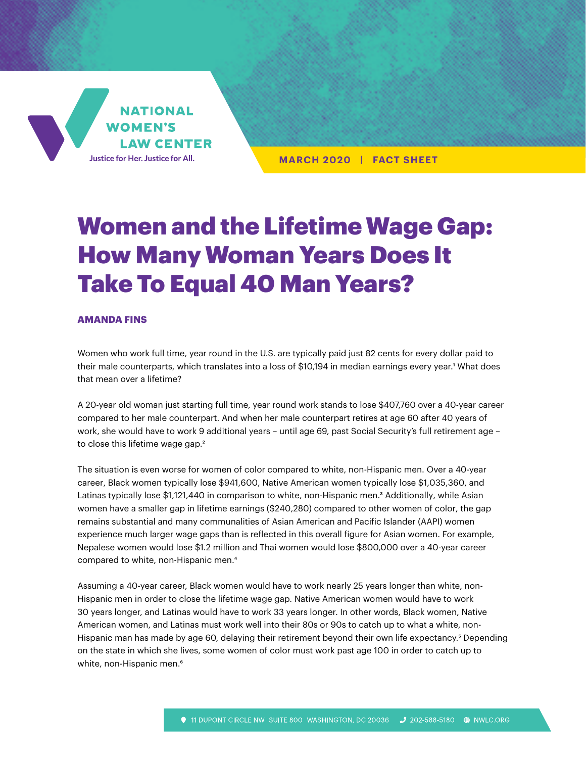

**MARCH 2020 | FACT SHEET**

## Women and the Lifetime Wage Gap: How Many Woman Years Does It Take To Equal 40 Man Years?

## **AMANDA FINS**

Women who work full time, year round in the U.S. are typically paid just 82 cents for every dollar paid to their male counterparts, which translates into a loss of \$10,194 in median earnings every year.<sup>1</sup> What does that mean over a lifetime?

A 20-year old woman just starting full time, year round work stands to lose \$407,760 over a 40-year career compared to her male counterpart. And when her male counterpart retires at age 60 after 40 years of work, she would have to work 9 additional years – until age 69, past Social Security's full retirement age – to close this lifetime wage gap.<sup>2</sup>

The situation is even worse for women of color compared to white, non-Hispanic men. Over a 40-year career, Black women typically lose \$941,600, Native American women typically lose \$1,035,360, and Latinas typically lose \$1,121,440 in comparison to white, non-Hispanic men.<sup>3</sup> Additionally, while Asian women have a smaller gap in lifetime earnings (\$240,280) compared to other women of color, the gap remains substantial and many communalities of Asian American and Pacific Islander (AAPI) women experience much larger wage gaps than is reflected in this overall figure for Asian women. For example, Nepalese women would lose \$1.2 million and Thai women would lose \$800,000 over a 40-year career compared to white, non-Hispanic men.4

Assuming a 40-year career, Black women would have to work nearly 25 years longer than white, non-Hispanic men in order to close the lifetime wage gap. Native American women would have to work 30 years longer, and Latinas would have to work 33 years longer. In other words, Black women, Native American women, and Latinas must work well into their 80s or 90s to catch up to what a white, non-Hispanic man has made by age 60, delaying their retirement beyond their own life expectancy.<sup>5</sup> Depending on the state in which she lives, some women of color must work past age 100 in order to catch up to white, non-Hispanic men.<sup>6</sup>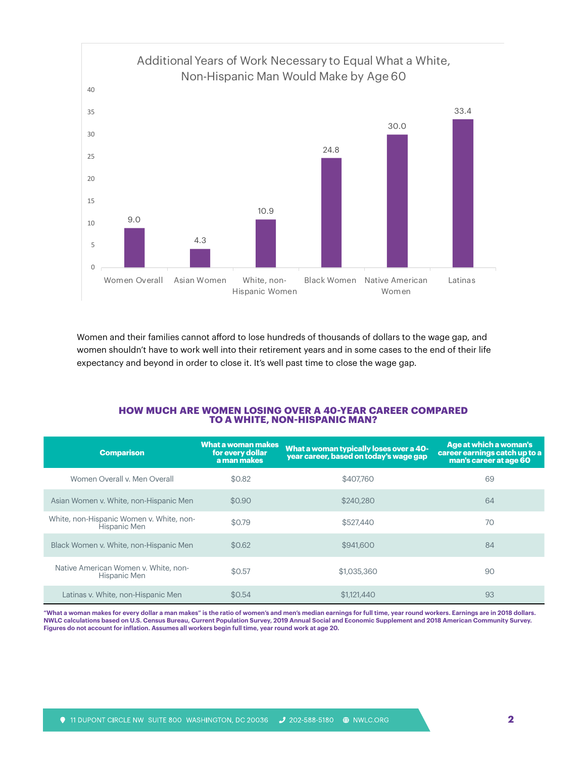

Women and their families cannot afford to lose hundreds of thousands of dollars to the wage gap, and women shouldn't have to work well into their retirement years and in some cases to the end of their life expectancy and beyond in order to close it. It's well past time to close the wage gap.

## **HOW MUCH ARE WOMEN LOSING OVER A 40-YEAR CAREER COMPARED TO A WHITE, NON-HISPANIC MAN?**

| <b>Comparison</b>                                        | What a woman makes<br>for every dollar<br>a man makes | What a woman typically loses over a 40-<br>year career, based on today's wage gap | Age at which a woman's<br>career earnings catch up to a<br>man's career at age 60 |
|----------------------------------------------------------|-------------------------------------------------------|-----------------------------------------------------------------------------------|-----------------------------------------------------------------------------------|
| Women Overall v. Men Overall                             | \$0.82                                                | \$407.760                                                                         | 69                                                                                |
| Asian Women v. White, non-Hispanic Men                   | \$0.90                                                | \$240,280                                                                         | 64                                                                                |
| White, non-Hispanic Women v. White, non-<br>Hispanic Men | \$0.79                                                | \$527,440                                                                         | 70                                                                                |
| Black Women v. White, non-Hispanic Men                   | \$0.62                                                | \$941,600                                                                         | 84                                                                                |
| Native American Women v. White, non-<br>Hispanic Men     | \$0.57                                                | \$1,035,360                                                                       | 90                                                                                |
| Latinas v. White, non-Hispanic Men                       | \$0.54                                                | \$1,121,440                                                                       | 93                                                                                |

**"What a woman makes for every dollar a man makes" is the ratio of women's and men's median earnings for full time, year round workers. Earnings are in 2018 dollars. NWLC calculations based on U.S. Census Bureau, Current Population Survey, 2019 Annual Social and Economic Supplement and 2018 American Community Survey. Figures do not account for inflation. Assumes all workers begin full time, year round work at age 20.**